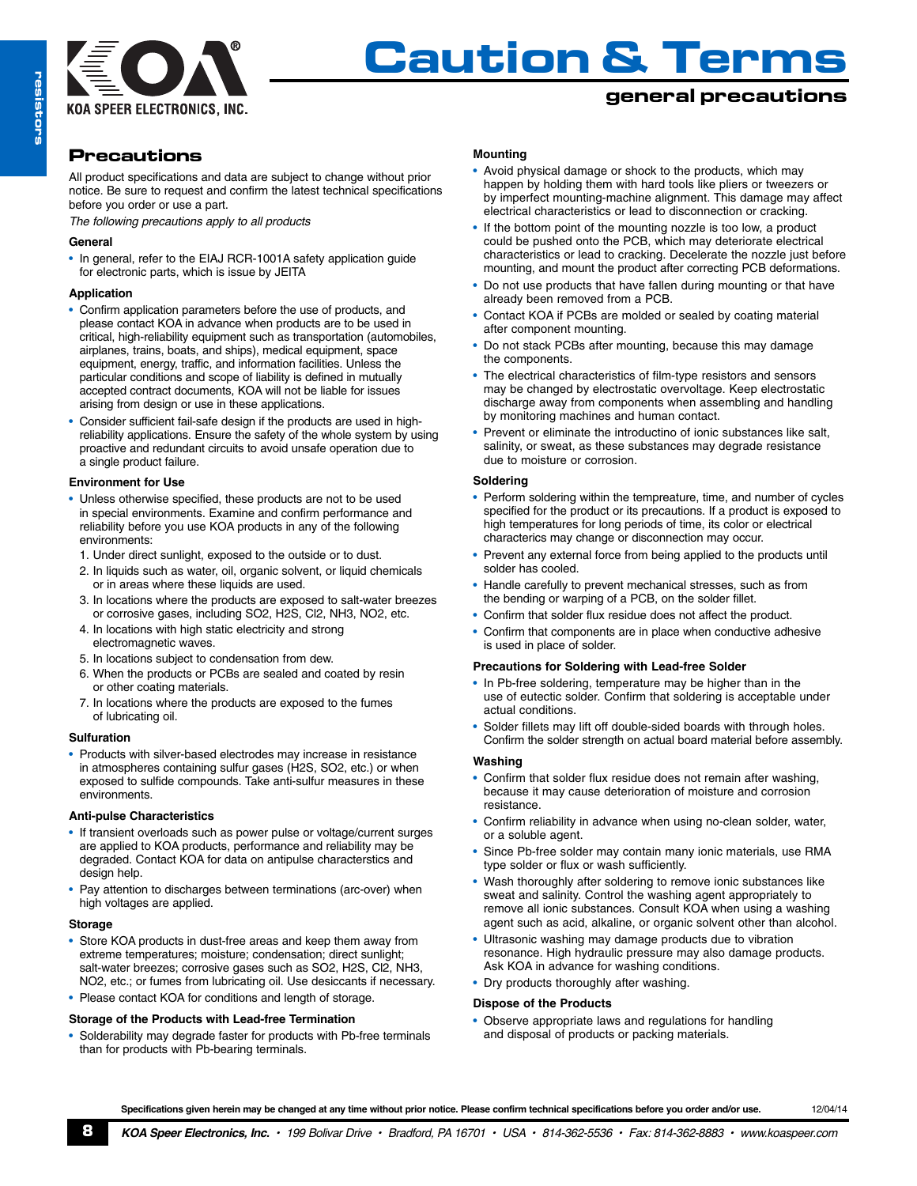

### **general precautions**

## **Precautions**

All product specifications and data are subject to change without prior notice. Be sure to request and confirm the latest technical specifications before you order or use a part.

*The following precautions apply to all products*

#### **General**

• In general, refer to the EIAJ RCR-1001A safety application guide for electronic parts, which is issue by JEITA

#### **Application**

- Confirm application parameters before the use of products, and please contact KOA in advance when products are to be used in critical, high-reliability equipment such as transportation (automobiles, airplanes, trains, boats, and ships), medical equipment, space equipment, energy, traffic, and information facilities. Unless the particular conditions and scope of liability is defined in mutually accepted contract documents, KOA will not be liable for issues arising from design or use in these applications.
- Consider sufficient fail-safe design if the products are used in highreliability applications. Ensure the safety of the whole system by using proactive and redundant circuits to avoid unsafe operation due to a single product failure.

#### **Environment for Use**

- Unless otherwise specified, these products are not to be used in special environments. Examine and confirm performance and reliability before you use KOA products in any of the following environments:
	- 1. Under direct sunlight, exposed to the outside or to dust.
	- 2. In liquids such as water, oil, organic solvent, or liquid chemicals or in areas where these liquids are used.
	- 3. In locations where the products are exposed to salt-water breezes or corrosive gases, including SO2, H2S, Cl2, NH3, NO2, etc.
	- 4. In locations with high static electricity and strong electromagnetic waves.
	- 5. In locations subject to condensation from dew.
	- 6. When the products or PCBs are sealed and coated by resin or other coating materials.
	- 7. In locations where the products are exposed to the fumes of lubricating oil.

#### **Sulfuration**

• Products with silver-based electrodes may increase in resistance in atmospheres containing sulfur gases (H2S, SO2, etc.) or when exposed to sulfide compounds. Take anti-sulfur measures in these environments.

#### **Anti-pulse Characteristics**

- If transient overloads such as power pulse or voltage/current surges are applied to KOA products, performance and reliability may be degraded. Contact KOA for data on antipulse characterstics and design help.
- Pay attention to discharges between terminations (arc-over) when high voltages are applied.

#### **Storage**

- Store KOA products in dust-free areas and keep them away from extreme temperatures; moisture; condensation; direct sunlight; salt-water breezes; corrosive gases such as SO2, H2S, Cl2, NH3, NO2, etc.; or fumes from lubricating oil. Use desiccants if necessary.
- Please contact KOA for conditions and length of storage.

#### **Storage of the Products with Lead-free Termination**

• Solderability may degrade faster for products with Pb-free terminals than for products with Pb-bearing terminals.

#### **Mounting**

- Avoid physical damage or shock to the products, which may happen by holding them with hard tools like pliers or tweezers or by imperfect mounting-machine alignment. This damage may affect electrical characteristics or lead to disconnection or cracking.
- If the bottom point of the mounting nozzle is too low, a product could be pushed onto the PCB, which may deteriorate electrical characteristics or lead to cracking. Decelerate the nozzle just before mounting, and mount the product after correcting PCB deformations.
- Do not use products that have fallen during mounting or that have already been removed from a PCB.
- Contact KOA if PCBs are molded or sealed by coating material after component mounting.
- Do not stack PCBs after mounting, because this may damage the components.
- The electrical characteristics of film-type resistors and sensors may be changed by electrostatic overvoltage. Keep electrostatic discharge away from components when assembling and handling by monitoring machines and human contact.
- Prevent or eliminate the introductino of ionic substances like salt, salinity, or sweat, as these substances may degrade resistance due to moisture or corrosion.

#### **Soldering**

- Perform soldering within the tempreature, time, and number of cycles specified for the product or its precautions. If a product is exposed to high temperatures for long periods of time, its color or electrical characterics may change or disconnection may occur.
- Prevent any external force from being applied to the products until solder has cooled.
- Handle carefully to prevent mechanical stresses, such as from the bending or warping of a PCB, on the solder fillet.
- Confirm that solder flux residue does not affect the product.
- Confirm that components are in place when conductive adhesive is used in place of solder.

#### **Precautions for Soldering with Lead-free Solder**

- In Pb-free soldering, temperature may be higher than in the use of eutectic solder. Confirm that soldering is acceptable under actual conditions.
- Solder fillets may lift off double-sided boards with through holes. Confirm the solder strength on actual board material before assembly.

#### **Washing**

- Confirm that solder flux residue does not remain after washing, because it may cause deterioration of moisture and corrosion resistance.
- Confirm reliability in advance when using no-clean solder, water, or a soluble agent.
- Since Pb-free solder may contain many ionic materials, use RMA type solder or flux or wash sufficiently.
- Wash thoroughly after soldering to remove ionic substances like sweat and salinity. Control the washing agent appropriately to remove all ionic substances. Consult KOA when using a washing agent such as acid, alkaline, or organic solvent other than alcohol.
- Ultrasonic washing may damage products due to vibration resonance. High hydraulic pressure may also damage products. Ask KOA in advance for washing conditions.
- Dry products thoroughly after washing.

#### **Dispose of the Products**

• Observe appropriate laws and regulations for handling and disposal of products or packing materials.

Specifications given herein may be changed at any time without prior notice. Please confirm technical specifications before you order and/or use. 12/04/14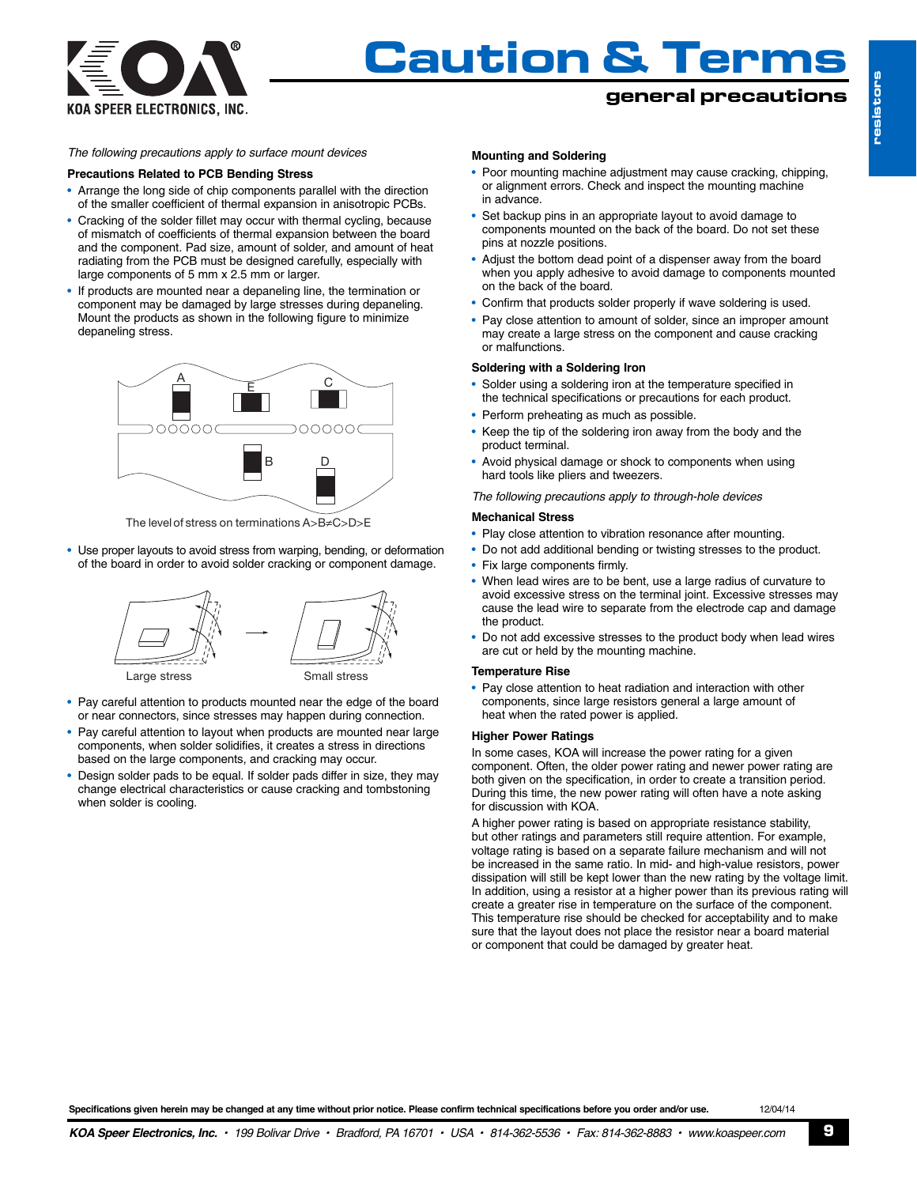

## **general precautions**

#### *The following precautions apply to surface mount devices*

#### **Precautions Related to PCB Bending Stress**

- Arrange the long side of chip components parallel with the direction of the smaller coefficient of thermal expansion in anisotropic PCBs.
- Cracking of the solder fillet may occur with thermal cycling, because of mismatch of coefficients of thermal expansion between the board and the component. Pad size, amount of solder, and amount of heat radiating from the PCB must be designed carefully, especially with large components of 5 mm x 2.5 mm or larger.
- If products are mounted near a depaneling line, the termination or component may be damaged by large stresses during depaneling. Mount the products as shown in the following figure to minimize depaneling stress.



The level of stress on terminations A>B≠C>D>E

• Use proper layouts to avoid stress from warping, bending, or deformation of the board in order to avoid solder cracking or component damage.



- Pay careful attention to products mounted near the edge of the board or near connectors, since stresses may happen during connection.
- Pay careful attention to layout when products are mounted near large components, when solder solidifies, it creates a stress in directions based on the large components, and cracking may occur.
- Design solder pads to be equal. If solder pads differ in size, they may change electrical characteristics or cause cracking and tombstoning when solder is cooling.

#### **Mounting and Soldering**

- Poor mounting machine adjustment may cause cracking, chipping, or alignment errors. Check and inspect the mounting machine in advance.
- Set backup pins in an appropriate layout to avoid damage to components mounted on the back of the board. Do not set these pins at nozzle positions.
- Adjust the bottom dead point of a dispenser away from the board when you apply adhesive to avoid damage to components mounted on the back of the board.
- Confirm that products solder properly if wave soldering is used.
- Pay close attention to amount of solder, since an improper amount may create a large stress on the component and cause cracking or malfunctions.

#### **Soldering with a Soldering Iron**

- Solder using a soldering iron at the temperature specified in the technical specifications or precautions for each product.
- Perform preheating as much as possible.
- Keep the tip of the soldering iron away from the body and the product terminal.
- Avoid physical damage or shock to components when using hard tools like pliers and tweezers.

*The following precautions apply to through-hole devices*

#### **Mechanical Stress**

- Play close attention to vibration resonance after mounting.
- Do not add additional bending or twisting stresses to the product.
- Fix large components firmly.
- When lead wires are to be bent, use a large radius of curvature to avoid excessive stress on the terminal joint. Excessive stresses may cause the lead wire to separate from the electrode cap and damage the product.
- Do not add excessive stresses to the product body when lead wires are cut or held by the mounting machine.

#### **Temperature Rise**

• Pay close attention to heat radiation and interaction with other components, since large resistors general a large amount of heat when the rated power is applied.

#### **Higher Power Ratings**

In some cases, KOA will increase the power rating for a given component. Often, the older power rating and newer power rating are both given on the specification, in order to create a transition period. During this time, the new power rating will often have a note asking for discussion with KOA.

A higher power rating is based on appropriate resistance stability, but other ratings and parameters still require attention. For example, voltage rating is based on a separate failure mechanism and will not be increased in the same ratio. In mid- and high-value resistors, power dissipation will still be kept lower than the new rating by the voltage limit. In addition, using a resistor at a higher power than its previous rating will create a greater rise in temperature on the surface of the component. This temperature rise should be checked for acceptability and to make sure that the layout does not place the resistor near a board material or component that could be damaged by greater heat.

Specifications given herein may be changed at any time without prior notice. Please confirm technical specifications before you order and/or use. 12/04/14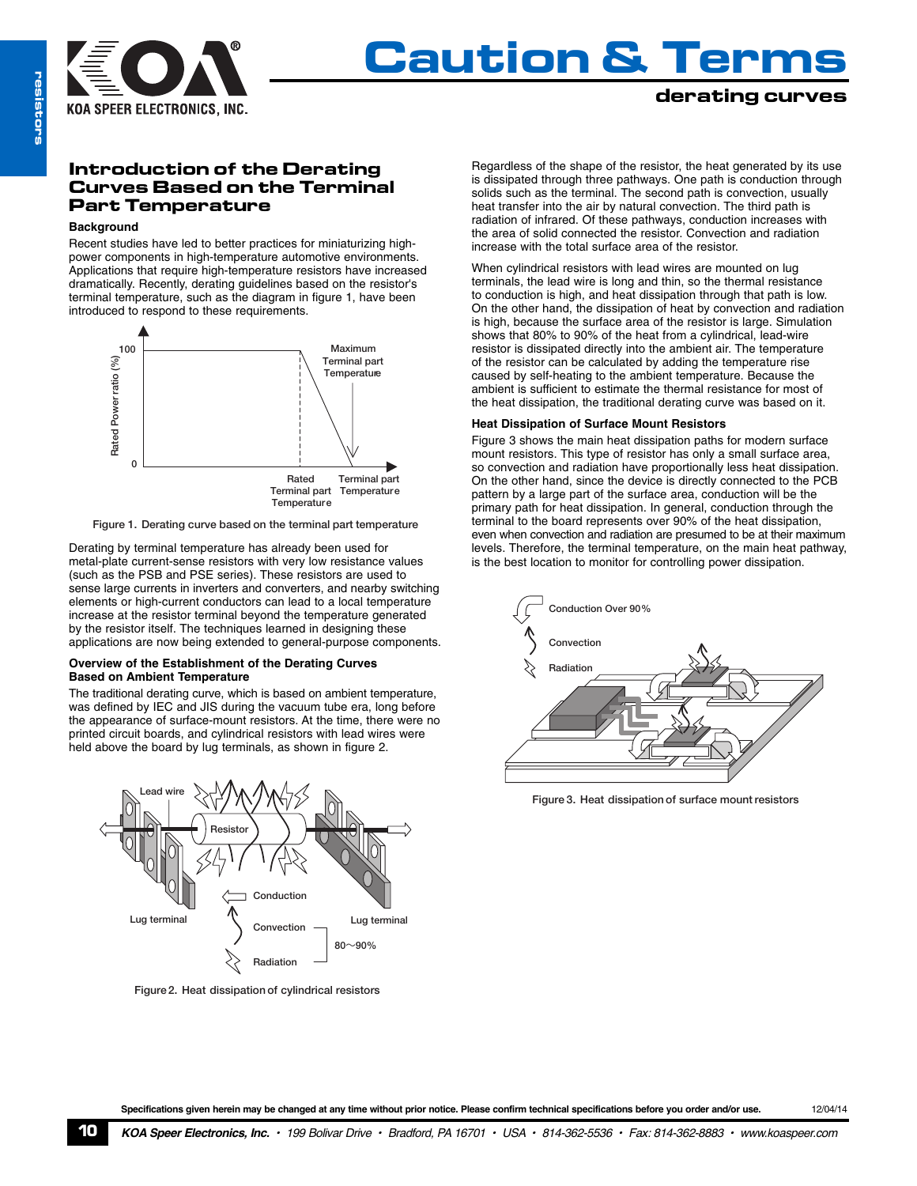

### **derating curves**

### **Introduction of the Derating Curves Based on the Terminal Part Temperature**

#### **Background**

Recent studies have led to better practices for miniaturizing highpower components in high-temperature automotive environments. Applications that require high-temperature resistors have increased dramatically. Recently, derating guidelines based on the resistor's terminal temperature, such as the diagram in figure 1, have been introduced to respond to these requirements.



**Figure 1. Derating curve based on the terminal part temperature**

Derating by terminal temperature has already been used for metal-plate current-sense resistors with very low resistance values (such as the PSB and PSE series). These resistors are used to sense large currents in inverters and converters, and nearby switching elements or high-current conductors can lead to a local temperature increase at the resistor terminal beyond the temperature generated by the resistor itself. The techniques learned in designing these applications are now being extended to general-purpose components.

#### **Overview of the Establishment of the Derating Curves Based on Ambient Temperature**

The traditional derating curve, which is based on ambient temperature, was defined by IEC and JIS during the vacuum tube era, long before the appearance of surface-mount resistors. At the time, there were no printed circuit boards, and cylindrical resistors with lead wires were held above the board by lug terminals, as shown in figure 2.



**Figure 2. Heat dissipation of cylindrical resistors**

Regardless of the shape of the resistor, the heat generated by its use is dissipated through three pathways. One path is conduction through solids such as the terminal. The second path is convection, usually heat transfer into the air by natural convection. The third path is radiation of infrared. Of these pathways, conduction increases with the area of solid connected the resistor. Convection and radiation increase with the total surface area of the resistor.

When cylindrical resistors with lead wires are mounted on lug terminals, the lead wire is long and thin, so the thermal resistance to conduction is high, and heat dissipation through that path is low. On the other hand, the dissipation of heat by convection and radiation is high, because the surface area of the resistor is large. Simulation shows that 80% to 90% of the heat from a cylindrical, lead-wire resistor is dissipated directly into the ambient air. The temperature **L** of the resistor can be calculated by adding the temperature rise caused by self-heating to the ambient temperature. Because the ambient is sufficient to estimate the thermal resistance for most of the heat dissipation, the traditional derating curve was based on it.

#### **Heat Dissipation of Surface Mount Resistors**

Figure 3 shows the main heat dissipation paths for modern surface mount resistors. This type of resistor has only a small surface area, so convection and radiation have proportionally less heat dissipation. On the other hand, since the device is directly connected to the PCB pattern by a large part of the surface area, conduction will be the primary path for heat dissipation. In general, conduction through the terminal to the board represents over 90% of the heat dissipation, even when convection and radiation are presumed to be at their maximum levels. Therefore, the terminal temperature, on the main heat pathway, is the best location to monitor for controlling power dissipation.



**Figure 3. Heat dissipation of surface mount resistors**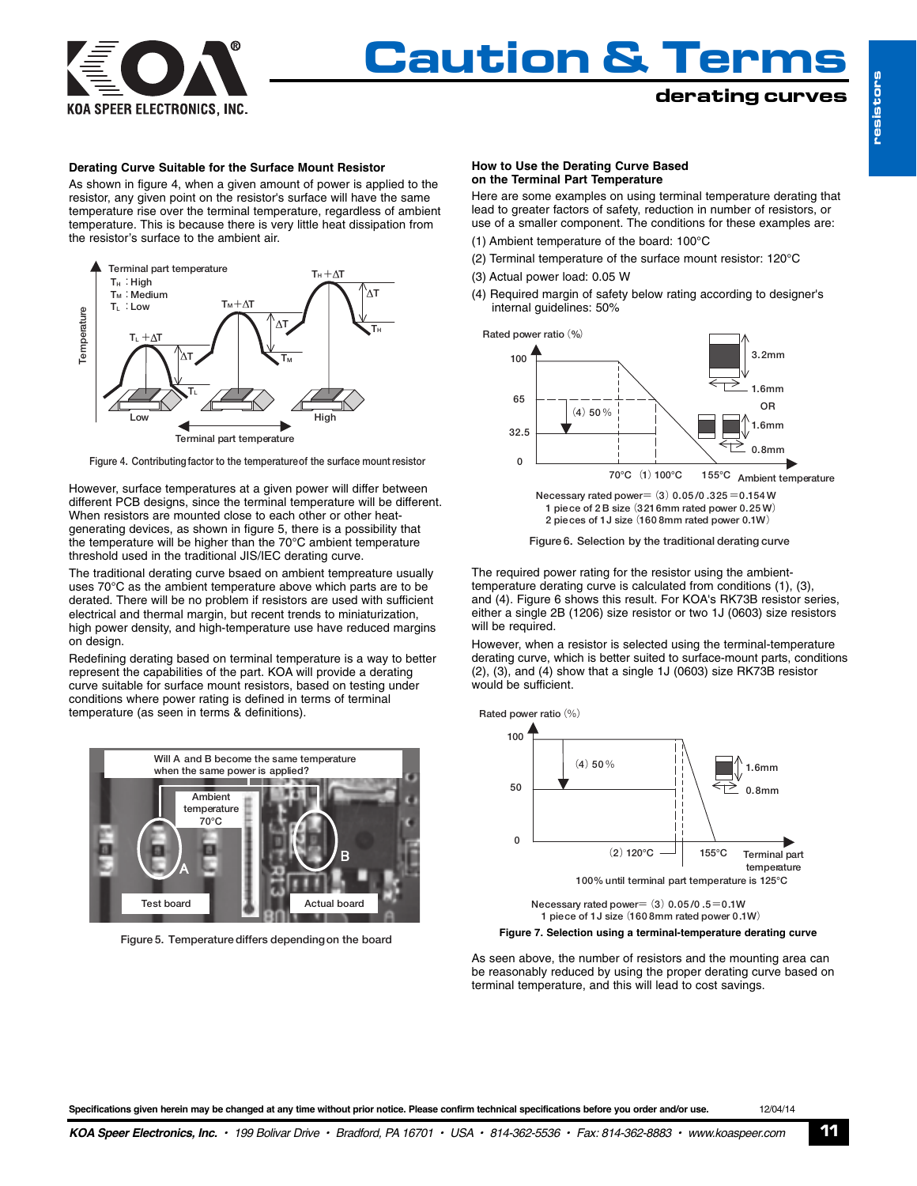

### **derating curves**

#### **Derating Curve Suitable for the Surface Mount Resistor**

As shown in figure 4, when a given amount of power is applied to the resistor, any given point on the resistor's surface will have the same temperature rise over the terminal temperature, regardless of ambient temperature. This is because there is very little heat dissipation from the resistor's surface to the ambient air.





However, surface temperatures at a given power will differ between different PCB designs, since the terminal temperature will be different. When resistors are mounted close to each other or other heatgenerating devices, as shown in figure 5, there is a possibility that the temperature will be higher than the 70°C ambient temperature threshold used in the traditional JIS/IEC derating curve.

The traditional derating curve bsaed on ambient tempreature usually uses 70°C as the ambient temperature above which parts are to be derated. There will be no problem if resistors are used with sufficient electrical and thermal margin, but recent trends to miniaturization, high power density, and high-temperature use have reduced margins on design.

Redefining derating based on terminal temperature is a way to better represent the capabilities of the part. KOA will provide a derating curve suitable for surface mount resistors, based on testing under conditions where power rating is defined in terms of terminal temperature (as seen in terms & definitions).



**Figure 5. Temperaturediffers dependingon the board**

#### **How to Use the Derating Curve Based on the Terminal Part Temperature**

Here are some examples on using terminal temperature derating that lead to greater factors of safety, reduction in number of resistors, or use of a smaller component. The conditions for these examples are: (1) Ambient temperature of the board: 100°C

- 
- (2) Terminal temperature of the surface mount resistor: 120°C
- (3) Actual power load: 0.05 W
- (4) Required margin of safety below rating according to designer's internal guidelines: 50%



**1 piece of 2 B size**(**3216mm rated power 0.25 W**) **2 pieces of 1J size**(**160 8mm rated power 0.1W**)

**Figure 6. Selection by the traditional derating curve**

The required power rating for the resistor using the ambienttemperature derating curve is calculated from conditions (1), (3), and (4). Figure 6 shows this result. For KOA's RK73B resistor series, either a single 2B (1206) size resistor or two 1J (0603) size resistors will be required.

However, when a resistor is selected using the terminal-temperature derating curve, which is better suited to surface-mount parts, conditions (2), (3), and (4) show that a single 1J (0603) size RK73B resistor would be sufficient.





**Figure 7. Selection using a terminal-temperature derating curve**

As seen above, the number of resistors and the mounting area can be reasonably reduced by using the proper derating curve based on terminal temperature, and this will lead to cost savings.